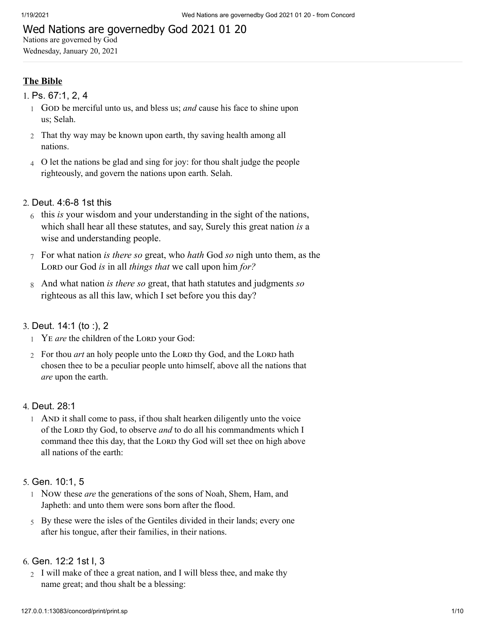## Wed Nations are governedby God 2021 01 20

Nations are governed by God Wednesday, January 20, 2021

## **The Bible**

- 1. [Ps. 67:1, 2, 4](http://www.concordworks.com/citation/Ps.%2067:1,%202,%204)
	- 1 GOD be merciful unto us, and bless us; and cause his face to shine upon us; Selah.
	- 2 That thy way may be known upon earth, thy saving health among all nations.
	- 4 O let the nations be glad and sing for joy: for thou shalt judge the people righteously, and govern the nations upon earth. Selah.

## 2. [Deut. 4:6-8 1st this](http://www.concordworks.com/citation/Deut.%204:6-8%201st%20this)

- 6 this *is* your wisdom and your understanding in the sight of the nations, which shall hear all these statutes, and say, Surely this great nation *is* a wise and understanding people.
- 7 For what nation *is there so* great, who *hath* God *so* nigh unto them, as the LORD our God *is* in all *things that* we call upon him *for*?
- 8 And what nation *is there so* great, that hath statutes and judgments *so* righteous as all this law, which I set before you this day?

## 3. [Deut. 14:1 \(to :\), 2](http://www.concordworks.com/citation/Deut.%2014:1%20(to%20:),%202)

- <sup>1</sup> YE *are* the children of the LORD your God:
- 2 For thou *art* an holy people unto the LORD thy God, and the LORD hath chosen thee to be a peculiar people unto himself, above all the nations that *are* upon the earth.

#### 4. [Deut. 28:1](http://www.concordworks.com/citation/Deut.%2028:1)

1 AND it shall come to pass, if thou shalt hearken diligently unto the voice of the LORD thy God, to observe *and* to do all his commandments which I command thee this day, that the LORD thy God will set thee on high above all nations of the earth:

#### 5. [Gen. 10:1, 5](http://www.concordworks.com/citation/Gen.%2010:1,%205)

- 1 Now these are the generations of the sons of Noah, Shem, Ham, and Japheth: and unto them were sons born after the flood.
- 5 By these were the isles of the Gentiles divided in their lands; every one after his tongue, after their families, in their nations.

### 6. [Gen. 12:2 1st I, 3](http://www.concordworks.com/citation/Gen.%2012:2%201st%20I,%203)

2 I will make of thee a great nation, and I will bless thee, and make thy name great; and thou shalt be a blessing: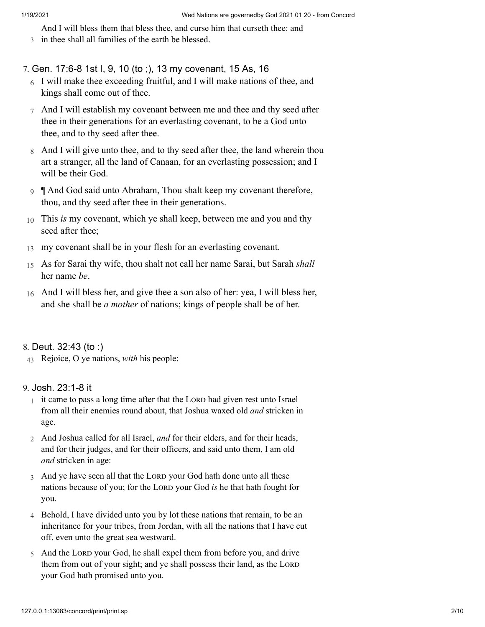3 in thee shall all families of the earth be blessed. And I will bless them that bless thee, and curse him that curseth thee: and

#### 7. [Gen. 17:6-8 1st I, 9, 10 \(to ;\), 13 my covenant, 15 As, 16](http://www.concordworks.com/citation/Gen.%2017:6-8%201st%20I,%209,%2010%20(to%20;),%2013%20my%20covenant,%2015%20As,%2016)

- 6 I will make thee exceeding fruitful, and I will make nations of thee, and kings shall come out of thee.
- 7 And I will establish my covenant between me and thee and thy seed after thee in their generations for an everlasting covenant, to be a God unto thee, and to thy seed after thee.
- 8 And I will give unto thee, and to thy seed after thee, the land wherein thou art a stranger, all the land of Canaan, for an everlasting possession; and I will be their God.
- 9 ¶ And God said unto Abraham, Thou shalt keep my covenant therefore, thou, and thy seed after thee in their generations.
- 10 This *is* my covenant, which ye shall keep, between me and you and thy seed after thee;
- 13 my covenant shall be in your flesh for an everlasting covenant.
- 15 As for Sarai thy wife, thou shalt not call her name Sarai, but Sarah *shall* her name *be*.
- 16 And I will bless her, and give thee a son also of her: yea, I will bless her, and she shall be *a mother* of nations; kings of people shall be of her.

## 8. [Deut. 32:43 \(to :\)](http://www.concordworks.com/citation/Deut.%2032:43%20(to%20:))

43 Rejoice, O ye nations, *with* his people:

## 9. [Josh. 23:1-8 it](http://www.concordworks.com/citation/Josh.%2023:1-8%20it)

- $1$  it came to pass a long time after that the LORD had given rest unto Israel from all their enemies round about, that Joshua waxed old *and* stricken in age.
- 2 And Joshua called for all Israel, *and* for their elders, and for their heads, and for their judges, and for their officers, and said unto them, I am old *and* stricken in age:
- 3 And ye have seen all that the LORD your God hath done unto all these nations because of you; for the LORD your God *is* he that hath fought for you.
- 4 Behold, I have divided unto you by lot these nations that remain, to be an inheritance for your tribes, from Jordan, with all the nations that I have cut off, even unto the great sea westward.
- $5$  And the LORD your God, he shall expel them from before you, and drive them from out of your sight; and ye shall possess their land, as the LORD your God hath promised unto you.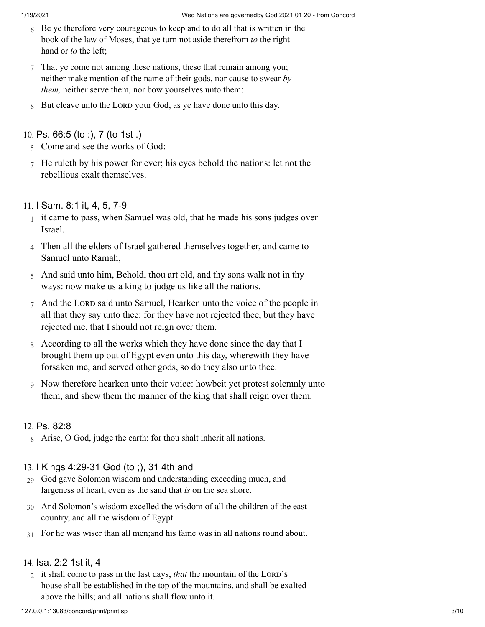- 6 Be ye therefore very courageous to keep and to do all that is written in the book of the law of Moses, that ye turn not aside therefrom *to* the right hand or *to* the left;
- 7 That ye come not among these nations, these that remain among you; neither make mention of the name of their gods, nor cause to swear *by them,* neither serve them, nor bow yourselves unto them:
- 8 But cleave unto the LORD your God, as ye have done unto this day.

## 10. [Ps. 66:5 \(to :\), 7 \(to 1st .\)](http://www.concordworks.com/citation/Ps.%2066:5%20(to%20:),%207%20(to%201st%20.))

- 5 Come and see the works of God:
- 7 He ruleth by his power for ever; his eyes behold the nations: let not the rebellious exalt themselves.

## 11. [I Sam. 8:1 it, 4, 5, 7-9](http://www.concordworks.com/citation/I%20Sam.%208:1%20it,%204,%205,%207-9)

- 1 it came to pass, when Samuel was old, that he made his sons judges over Israel.
- 4 Then all the elders of Israel gathered themselves together, and came to Samuel unto Ramah,
- 5 And said unto him, Behold, thou art old, and thy sons walk not in thy ways: now make us a king to judge us like all the nations.
- $7$  And the LORD said unto Samuel, Hearken unto the voice of the people in all that they say unto thee: for they have not rejected thee, but they have rejected me, that I should not reign over them.
- 8 According to all the works which they have done since the day that I brought them up out of Egypt even unto this day, wherewith they have forsaken me, and served other gods, so do they also unto thee.
- 9 Now therefore hearken unto their voice: howbeit yet protest solemnly unto them, and shew them the manner of the king that shall reign over them.

## 12. [Ps. 82:8](http://www.concordworks.com/citation/Ps.%2082:8)

8 Arise, O God, judge the earth: for thou shalt inherit all nations.

## 13. [I Kings 4:29-31 God \(to ;\), 31 4th and](http://www.concordworks.com/citation/I%20Kings%204:29-31%20God%20(to%20;),%2031%204th%20and)

- 29 God gave Solomon wisdom and understanding exceeding much, and largeness of heart, even as the sand that *is* on the sea shore.
- 30 And Solomon's wisdom excelled the wisdom of all the children of the east country, and all the wisdom of Egypt.
- 31 For he was wiser than all men;and his fame was in all nations round about.

## 14. [Isa. 2:2 1st it, 4](http://www.concordworks.com/citation/Isa.%202:2%201st%20it,%204)

2 it shall come to pass in the last days, *that* the mountain of the LORD's house shall be established in the top of the mountains, and shall be exalted above the hills; and all nations shall flow unto it.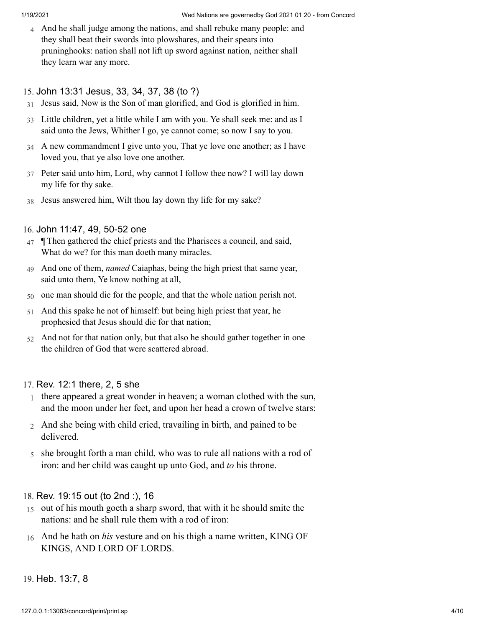4 And he shall judge among the nations, and shall rebuke many people: and they shall beat their swords into plowshares, and their spears into pruninghooks: nation shall not lift up sword against nation, neither shall they learn war any more.

#### 15. [John 13:31 Jesus, 33, 34, 37, 38 \(to ?\)](http://www.concordworks.com/citation/John%2013:31%20Jesus,%2033,%2034,%2037,%2038%20(to%20?))

- 31 Jesus said, Now is the Son of man glorified, and God is glorified in him.
- 33 Little children, yet a little while I am with you. Ye shall seek me: and as I said unto the Jews, Whither I go, ye cannot come; so now I say to you.
- 34 A new commandment I give unto you, That ye love one another; as I have loved you, that ye also love one another.
- 37 Peter said unto him, Lord, why cannot I follow thee now? I will lay down my life for thy sake.
- 38 Jesus answered him, Wilt thou lay down thy life for my sake?

## 16. [John 11:47, 49, 50-52 one](http://www.concordworks.com/citation/John%2011:47,%2049,%2050-52%20one)

- 47 ¶ Then gathered the chief priests and the Pharisees a council, and said, What do we? for this man doeth many miracles.
- 49 And one of them, *named* Caiaphas, being the high priest that same year, said unto them, Ye know nothing at all,
- 50 one man should die for the people, and that the whole nation perish not.
- 51 And this spake he not of himself: but being high priest that year, he prophesied that Jesus should die for that nation;
- 52 And not for that nation only, but that also he should gather together in one the children of God that were scattered abroad.

## 17. [Rev. 12:1 there, 2, 5 she](http://www.concordworks.com/citation/Rev.%2012:1%20there,%202,%205%20she)

- 1 there appeared a great wonder in heaven; a woman clothed with the sun, and the moon under her feet, and upon her head a crown of twelve stars:
- 2 And she being with child cried, travailing in birth, and pained to be delivered.
- 5 she brought forth a man child, who was to rule all nations with a rod of iron: and her child was caught up unto God, and *to* his throne.

## 18. [Rev. 19:15 out \(to 2nd :\), 16](http://www.concordworks.com/citation/Rev.%2019:15%20out%20(to%202nd%20:),%2016)

- 15 out of his mouth goeth a sharp sword, that with it he should smite the nations: and he shall rule them with a rod of iron:
- 16 And he hath on *his* vesture and on his thigh a name written, KING OF KINGS, AND LORD OF LORDS.

#### 19. [Heb. 13:7, 8](http://www.concordworks.com/citation/Heb.%2013:7,%208)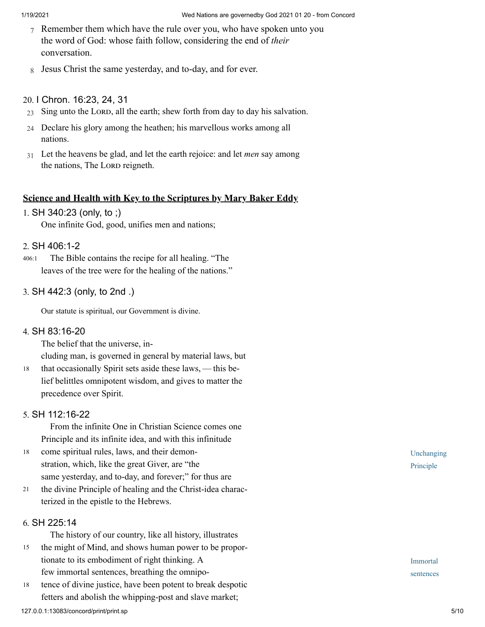- 7 Remember them which have the rule over you, who have spoken unto you the word of God: whose faith follow, considering the end of *their* conversation.
- 8 Jesus Christ the same yesterday, and to-day, and for ever.

### 20. [I Chron. 16:23, 24, 31](http://www.concordworks.com/citation/I%20Chron.%2016:23,%2024,%2031)

- $23$  Sing unto the LORD, all the earth; shew forth from day to day his salvation.
- 24 Declare his glory among the heathen; his marvellous works among all nations.
- 31 Let the heavens be glad, and let the earth rejoice: and let *men* say among the nations, The LORD reigneth.

## **Science and Health with Key to the Scriptures by Mary Baker Eddy**

1. [SH 340:23 \(only, to ;\)](http://www.concordworks.com/citation/SH%20340:23%20(only,%20to%20;))

One infinite God, good, unifies men and nations;

#### 2. [SH 406:1-2](http://www.concordworks.com/citation/SH%20406:1-2)

 The Bible contains the recipe for all healing. "The leaves of the tree were for the healing of the nations." 406:1

#### 3. [SH 442:3 \(only, to 2nd .\)](http://www.concordworks.com/citation/SH%20442:3%20(only,%20to%202nd%20.))

Our statute is spiritual, our Government is divine.

## 4. [SH 83:16-20](http://www.concordworks.com/citation/SH%2083:16-20)

The belief that the universe, in‐

cluding man, is governed in general by material laws, but

that occasionally Spirit sets aside these laws, — this belief belittles omnipotent wisdom, and gives to matter the precedence over Spirit. 18

#### 5. [SH 112:16-22](http://www.concordworks.com/citation/SH%20112:16-22)

 From the infinite One in Christian Science comes one Principle and its infinite idea, and with this infinitude

- come spiritual rules, laws, and their demon‐ stration, which, like the great Giver, are "the same yesterday, and to-day, and forever;" for thus are 18
- the divine Principle of healing and the Christ-idea charac‐ terized in the epistle to the Hebrews. 21

### 6. [SH 225:14](http://www.concordworks.com/citation/SH%20225:14)

The history of our country, like all history, illustrates

- the might of Mind, and shows human power to be propor‐ tionate to its embodiment of right thinking. A few immortal sentences, breathing the omnipo-15
- tence of divine justice, have been potent to break despotic fetters and abolish the whipping-post and slave market; 18

Unchanging Principle

Immortal sentences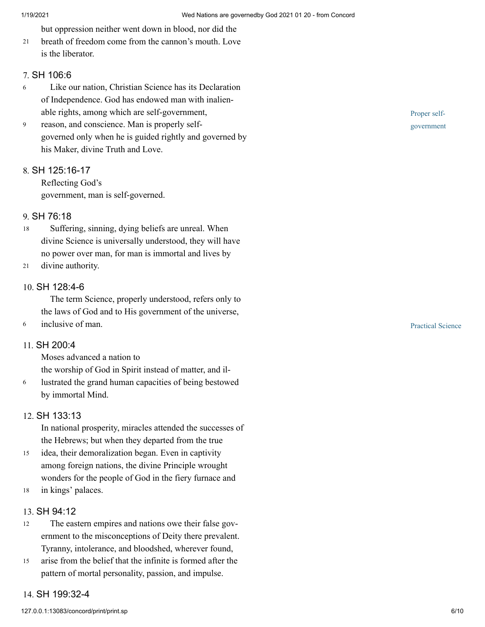but oppression neither went down in blood, nor did the

breath of freedom come from the cannon's mouth. Love is the liberator. 21

## 7. [SH 106:6](http://www.concordworks.com/citation/SH%20106:6)

- Like our nation, Christian Science has its Declaration of Independence. God has endowed man with inalien‐ able rights, among which are self-government, 6
- reason, and conscience. Man is properly selfgoverned only when he is guided rightly and governed by his Maker, divine Truth and Love. 9

## 8. [SH 125:16-17](http://www.concordworks.com/citation/SH%20125:16-17)

Reflecting God's government, man is self-governed.

## 9. [SH 76:18](http://www.concordworks.com/citation/SH%2076:18)

- Suffering, sinning, dying beliefs are unreal. When divine Science is universally understood, they will have no power over man, for man is immortal and lives by 18
- divine authority. 21

## 10. [SH 128:4-6](http://www.concordworks.com/citation/SH%20128:4-6)

 The term Science, properly understood, refers only to the laws of God and to His government of the universe,

6 inclusive of man.

### 11. [SH 200:4](http://www.concordworks.com/citation/SH%20200:4)

Moses advanced a nation to

the worship of God in Spirit instead of matter, and il‐

lustrated the grand human capacities of being bestowed by immortal Mind. 6

#### 12. [SH 133:13](http://www.concordworks.com/citation/SH%20133:13)

In national prosperity, miracles attended the successes of the Hebrews; but when they departed from the true

- idea, their demoralization began. Even in captivity among foreign nations, the divine Principle wrought wonders for the people of God in the fiery furnace and 15
- in kings' palaces. 18

## 13. [SH 94:12](http://www.concordworks.com/citation/SH%2094:12)

- The eastern empires and nations owe their false government to the misconceptions of Deity there prevalent. Tyranny, intolerance, and bloodshed, wherever found, 12
- arise from the belief that the infinite is formed after the pattern of mortal personality, passion, and impulse. 15

#### 14. [SH 199:32-4](http://www.concordworks.com/citation/SH%20199:32-4)

Practical Science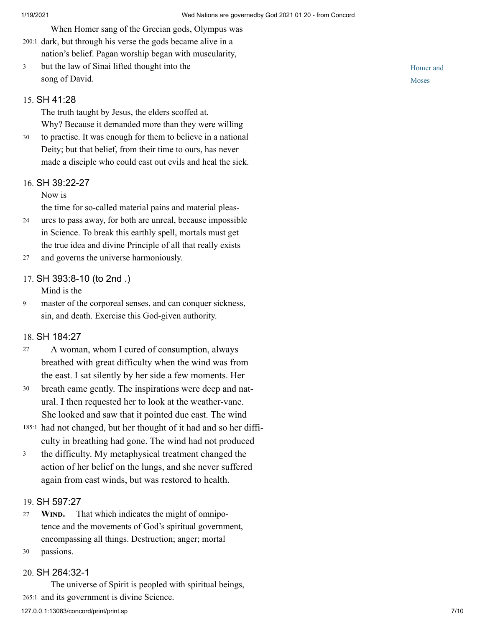When Homer sang of the Grecian gods, Olympus was 200:1 dark, but through his verse the gods became alive in a nation's belief. Pagan worship began with muscularity,

but the law of Sinai lifted thought into the song of David. 3

#### 15. [SH 41:28](http://www.concordworks.com/citation/SH%2041:28)

The truth taught by Jesus, the elders scoffed at. Why? Because it demanded more than they were willing

to practise. It was enough for them to believe in a national Deity; but that belief, from their time to ours, has never made a disciple who could cast out evils and heal the sick. 30

#### 16. [SH 39:22-27](http://www.concordworks.com/citation/SH%2039:22-27)

Now is

the time for so-called material pains and material pleas‐

- ures to pass away, for both are unreal, because impossible in Science. To break this earthly spell, mortals must get the true idea and divine Principle of all that really exists 24
- and governs the universe harmoniously. 27

#### 17. [SH 393:8-10 \(to 2nd .\)](http://www.concordworks.com/citation/SH%20393:8-10%20(to%202nd%20.))

Mind is the

master of the corporeal senses, and can conquer sickness, sin, and death. Exercise this God-given authority. 9

## 18. [SH 184:27](http://www.concordworks.com/citation/SH%20184:27)

- A woman, whom I cured of consumption, always breathed with great difficulty when the wind was from the east. I sat silently by her side a few moments. Her 27
- breath came gently. The inspirations were deep and nat‐ ural. I then requested her to look at the weather-vane. She looked and saw that it pointed due east. The wind 30
- 185:1 had not changed, but her thought of it had and so her difficulty in breathing had gone. The wind had not produced
- the difficulty. My metaphysical treatment changed the action of her belief on the lungs, and she never suffered again from east winds, but was restored to health. 3

#### 19. [SH 597:27](http://www.concordworks.com/citation/SH%20597:27)

- **WIND.** That which indicates the might of omnipotence and the movements of God's spiritual government, encompassing all things. Destruction; anger; mortal 27
- passions. 30

#### 20. [SH 264:32-1](http://www.concordworks.com/citation/SH%20264:32-1)

 The universe of Spirit is peopled with spiritual beings, 265:1 and its government is divine Science.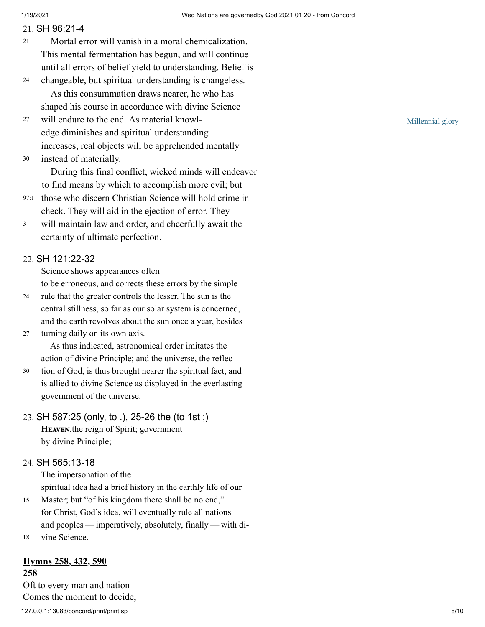## 21. [SH 96:21-4](http://www.concordworks.com/citation/SH%2096:21-4)

- Mortal error will vanish in a moral chemicalization. This mental fermentation has begun, and will continue until all errors of belief yield to understanding. Belief is 21
- changeable, but spiritual understanding is changeless. As this consummation draws nearer, he who has shaped his course in accordance with divine Science 24
- will endure to the end. As material knowledge diminishes and spiritual understanding increases, real objects will be apprehended mentally 27
- instead of materially. 30

 During this final conflict, wicked minds will endeavor to find means by which to accomplish more evil; but

- 97:1 those who discern Christian Science will hold crime in check. They will aid in the ejection of error. They
- will maintain law and order, and cheerfully await the certainty of ultimate perfection. 3

## 22. [SH 121:22-32](http://www.concordworks.com/citation/SH%20121:22-32)

Science shows appearances often

to be erroneous, and corrects these errors by the simple

- rule that the greater controls the lesser. The sun is the central stillness, so far as our solar system is concerned, and the earth revolves about the sun once a year, besides 24
- turning daily on its own axis. 27

 As thus indicated, astronomical order imitates the action of divine Principle; and the universe, the reflec‐

tion of God, is thus brought nearer the spiritual fact, and is allied to divine Science as displayed in the everlasting government of the universe. 30

# 23. [SH 587:25 \(only, to .\), 25-26 the \(to 1st ;\)](http://www.concordworks.com/citation/SH%20587:25%20(only,%20to%20.),%2025-26%20the%20(to%201st%20;)) HEAVEN.the reign of Spirit; government by divine Principle;

## 24. [SH 565:13-18](http://www.concordworks.com/citation/SH%20565:13-18)

The impersonation of the spiritual idea had a brief history in the earthly life of our

- Master; but "of his kingdom there shall be no end," for Christ, God's idea, will eventually rule all nations and peoples — imperatively, absolutely, finally — with di-15
- vine Science. 18

## **Hymns 258, 432, 590**

127.0.0.1:13083/concord/print/print.sp 8/10 **258** Oft to every man and nation Comes the moment to decide,

Millennial glory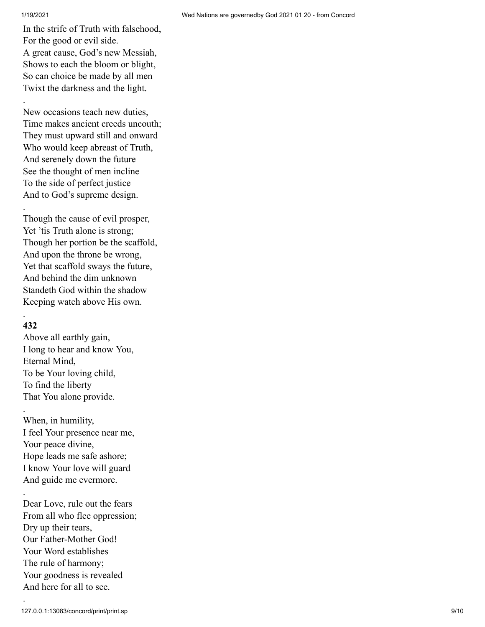#### 1/19/2021 Wed Nations are governedby God 2021 01 20 - from Concord

.

.

In the strife of Truth with falsehood, For the good or evil side. A great cause, God's new Messiah, Shows to each the bloom or blight, So can choice be made by all men Twixt the darkness and the light.

New occasions teach new duties, Time makes ancient creeds uncouth; They must upward still and onward Who would keep abreast of Truth, And serenely down the future See the thought of men incline To the side of perfect justice And to God's supreme design.

Though the cause of evil prosper, Yet 'tis Truth alone is strong; Though her portion be the scaffold, And upon the throne be wrong, Yet that scaffold sways the future, And behind the dim unknown Standeth God within the shadow Keeping watch above His own.

## **432**

.

.

.

.

Above all earthly gain, I long to hear and know You, Eternal Mind, To be Your loving child, To find the liberty That You alone provide.

When, in humility, I feel Your presence near me, Your peace divine, Hope leads me safe ashore; I know Your love will guard And guide me evermore.

Dear Love, rule out the fears From all who flee oppression; Dry up their tears, Our Father-Mother God! Your Word establishes The rule of harmony; Your goodness is revealed And here for all to see.